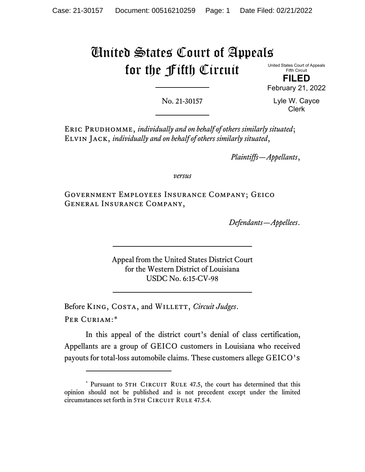## United States Court of Appeals for the Fifth Circuit

United States Court of Appeals Fifth Circuit

**FILED** February 21, 2022

No. 21-30157

Lyle W. Cayce Clerk

Eric Prudhomme, *individually and on behalf of others similarly situated*; Elvin Jack, *individually and on behalf of others similarly situated*,

*Plaintiffs—Appellants*,

*versus*

Government Employees Insurance Company; Geico General Insurance Company,

*Defendants—Appellees*.

Appeal from the United States District Court for the Western District of Louisiana USDC No. 6:15-CV-98

Before KING, COSTA, and WILLETT, *Circuit Judges*. Per Curiam:[\\*](#page-2-0)

In this appeal of the district court's denial of class certification, Appellants are a group of GEICO customers in Louisiana who received payouts for total-loss automobile claims. These customers allege GEICO's

<sup>\*</sup> Pursuant to 5TH CIRCUIT RULE 47.5, the court has determined that this opinion should not be published and is not precedent except under the limited circumstances set forth in 5TH CIRCUIT RULE 47.5.4.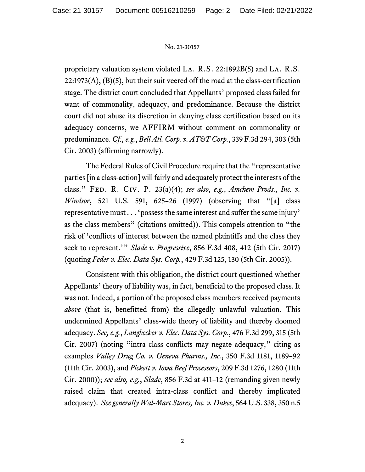## No. 21-30157

proprietary valuation system violated La. R.S. 22:1892B(5) and La. R.S.  $22:1973(A), (B)(5)$ , but their suit veered off the road at the class-certification stage. The district court concluded that Appellants' proposed class failed for want of commonality, adequacy, and predominance. Because the district court did not abuse its discretion in denying class certification based on its adequacy concerns, we AFFIRM without comment on commonality or predominance. *Cf., e.g.*, *Bell Atl. Corp. v. AT&T Corp.*, 339 F.3d 294, 303 (5th Cir. 2003) (affirming narrowly).

The Federal Rules of Civil Procedure require that the "representative parties [in a class-action] will fairly and adequately protect the interests of the class." Fed. R. Civ. P. 23(a)(4); *see also, e.g.*, *Amchem Prods., Inc. v. Windsor*, 521 U.S. 591, 625–26 (1997) (observing that "[a] class representative must . . . 'possess the same interest and suffer the same injury' as the class members" (citations omitted)). This compels attention to "the risk of 'conflicts of interest between the named plaintiffs and the class they seek to represent.'" *Slade v. Progressive*, 856 F.3d 408, 412 (5th Cir. 2017) (quoting *Feder v. Elec. Data Sys. Corp.*, 429 F.3d 125, 130 (5th Cir. 2005)).

Consistent with this obligation, the district court questioned whether Appellants' theory of liability was, in fact, beneficial to the proposed class. It was not. Indeed, a portion of the proposed class members received payments *above* (that is, benefitted from) the allegedly unlawful valuation. This undermined Appellants' class-wide theory of liability and thereby doomed adequacy. *See, e.g.*, *Langbecker v. Elec. Data Sys. Corp.*, 476 F.3d 299, 315 (5th Cir. 2007) (noting "intra class conflicts may negate adequacy," citing as examples *Valley Drug Co. v. Geneva Pharms., Inc.*, 350 F.3d 1181, 1189–92 (11th Cir. 2003), and *Pickett v. Iowa Beef Processors*, 209 F.3d 1276, 1280 (11th Cir. 2000)); *see also, e.g.*, *Slade*, 856 F.3d at 411–12 (remanding given newly raised claim that created intra-class conflict and thereby implicated adequacy). *See generally Wal-Mart Stores, Inc. v. Dukes*, 564 U.S. 338, 350 n.5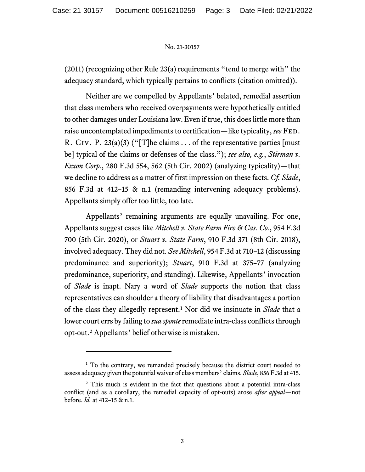## No. 21-30157

(2011) (recognizing other Rule 23(a) requirements "tend to merge with" the adequacy standard, which typically pertains to conflicts (citation omitted)).

Neither are we compelled by Appellants' belated, remedial assertion that class members who received overpayments were hypothetically entitled to other damages under Louisiana law. Even if true, this does little more than raise uncontemplated impediments to certification—like typicality, *see* Fed. R. Civ. P. 23(a)(3) ("[T]he claims ... of the representative parties [must] be] typical of the claims or defenses of the class."); *see also, e.g.*, *Stirman v. Exxon Corp.*, 280 F.3d 554, 562 (5th Cir. 2002) (analyzing typicality)—that we decline to address as a matter of first impression on these facts. *Cf. Slade*, 856 F.3d at 412–15 & n.1 (remanding intervening adequacy problems). Appellants simply offer too little, too late.

Appellants' remaining arguments are equally unavailing. For one, Appellants suggest cases like *Mitchell v. State Farm Fire & Cas. Co.*, 954 F.3d 700 (5th Cir. 2020), or *Stuart v. State Farm*, 910 F.3d 371 (8th Cir. 2018), involved adequacy. They did not. *See Mitchell*, 954 F.3d at 710–12 (discussing predominance and superiority); *Stuart*, 910 F.3d at 375–77 (analyzing predominance, superiority, and standing). Likewise, Appellants' invocation of *Slade* is inapt. Nary a word of *Slade* supports the notion that class representatives can shoulder a theory of liability that disadvantages a portion of the class they allegedly represent. [1](#page-2-0) Nor did we insinuate in *Slade* that a lower court errs by failing to *sua sponte*remediate intra-class conflicts through opt-out. [2](#page-2-0) Appellants' belief otherwise is mistaken.

<sup>&</sup>lt;sup>1</sup> To the contrary, we remanded precisely because the district court needed to assess adequacy given the potential waiver of class members' claims. *Slade*, 856 F.3d at 415.

<span id="page-2-0"></span><sup>&</sup>lt;sup>2</sup> This much is evident in the fact that questions about a potential intra-class conflict (and as a corollary, the remedial capacity of opt-outs) arose *after appeal*—not before. *Id.* at 412–15 & n.1.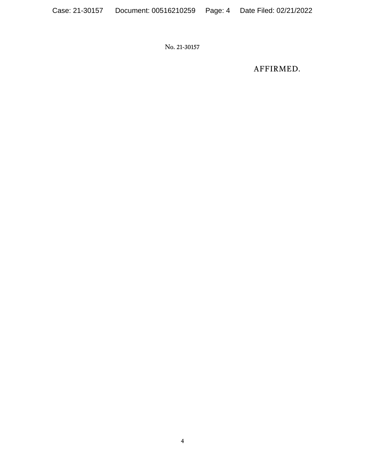No. 21-30157

AFFIRMED.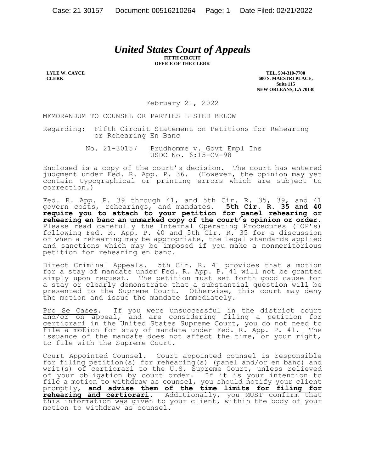## *United States Court of Appeals*

**FIFTH CIRCUIT OFFICE OF THE CLERK**

**LYLE W. CAYCE CLERK**

**TEL. 504-310-7700 600 S. MAESTRI PLACE, Suite 115 NEW ORLEANS, LA 70130**

February 21, 2022

MEMORANDUM TO COUNSEL OR PARTIES LISTED BELOW

Regarding: Fifth Circuit Statement on Petitions for Rehearing or Rehearing En Banc

> No. 21-30157 Prudhomme v. Govt Empl Ins USDC No. 6:15-CV-98

Enclosed is a copy of the court's decision. The court has entered judgment under Fed. R. App. P. 36. (However, the opinion may yet contain typographical or printing errors which are subject to correction.)

Fed. R. App. P. 39 through 41, and 5th Cir. R. 35, 39, and 41 govern costs, rehearings, and mandates. **5th Cir. R. 35 and 40 require you to attach to your petition for panel rehearing or rehearing en banc an unmarked copy of the court's opinion or order.** Please read carefully the Internal Operating Procedures (IOP's) following Fed. R. App. P. 40 and 5th Cir. R. 35 for a discussion of when a rehearing may be appropriate, the legal standards applied and sanctions which may be imposed if you make a nonmeritorious petition for rehearing en banc.

Direct Criminal Appeals. 5th Cir. R. 41 provides that a motion for a stay of mandate under Fed. R. App. P. 41 will not be granted simply upon request. The petition must set forth good cause for a stay or clearly demonstrate that a substantial question will be presented to the Supreme Court. Otherwise, this court may deny the motion and issue the mandate immediately.

Pro Se Cases. If you were unsuccessful in the district court and/or on appeal, and are considering filing a petition for certiorari in the United States Supreme Court, you do not need to file a motion for stay of mandate under Fed. R. App. P. 41. The issuance of the mandate does not affect the time, or your right, to file with the Supreme Court.

Court Appointed Counsel. Court appointed counsel is responsible for filing petition(s) for rehearing(s) (panel and/or en banc) and writ(s) of certiorari to the U.S. Supreme Court, unless relieved of your obligation by court order. If it is your intention to file a motion to withdraw as counsel, you should notify your client promptly, **and advise them of the time limits for filing for rehearing and certiorari**. Additionally, you MUST confirm that this information was given to your client, within the body of your motion to withdraw as counsel.